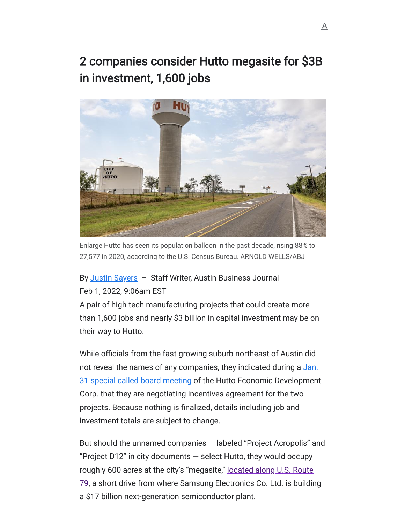## 2 companies consider Hutto megasite for \$3B in investment, 1,600 jobs



27,577 in 2020, according to the U.S. Census Bureau. ARNOLD WELLS/ABJ

## By [Justin Sayers](https://www.bizjournals.com/austin/bio/42177/Justin+Sayers) - Staff Writer, Austin Business Journal Feb 1, 2022, 9:06am EST

A pair of high-tech manufacturing projects that could create more than 1,600 jobs and nearly \$3 billion in capital investment may be on their way to Hutto.

While officials from the fast-growing suburb northeast of Austin did [not reveal the names of any companies, they indicated during a Jan.](https://huttotx.new.swagit.com/videos/153754) 31 special called board meeting of the Hutto Economic Development Corp. that they are negotiating incentives agreement for the two projects. Because nothing is finalized, details including job and investment totals are subject to change. Enlarge Hutto has seen its population balloon in the past decade, rising 88% to<br>27,577 in 2020, according to the U.S. Census Bureau. ARNOLD WELLS/ABJ<br>**By** <u>Justin Sayers</u> - Staff Writer, Austin Business Journal<br>**Feb 1, 202** 

But should the unnamed companies — labeled "Project Acropolis" and "Project D12" in city documents — select Hutto, they would occupy roughly 600 acres at the city's "megasite," located along U.S. Route [79, a short drive from where Samsung Electronics Co. Ltd. is buildin](https://www.bizjournals.com/austin/news/2021/12/16/williamson-county-samsung-taylor-hutto-round-rock.html)g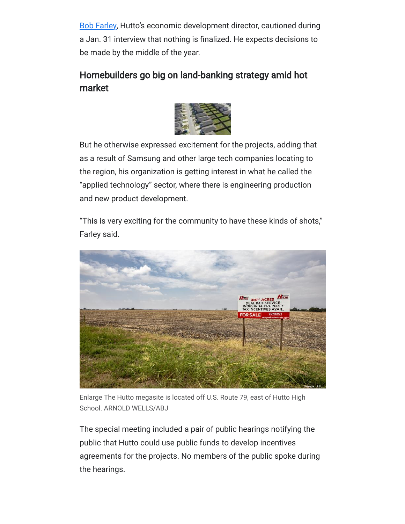[Bob Farley,](https://www.bizjournals.com/austin/search/results?q=Bob%20Farley) Hutto's economic development director, cautioned during a Jan. 31 interview that nothing is finalized. He expects decisions to be made by the middle of the year.

## Homebuilders go big on land-banking strategy amid hot market



But he otherwise expressed excitement for the projects, adding that as a result of Samsung and other large tech companies locating to the region, his organization is getting interest in what he called the "applied technology" sector, where there is engineering production and new product development.

"This is very exciting for the community to have these kinds of shots," Farley said.



Enlarge The Hutto megasite is located off U.S. Route 79, east of Hutto High School. ARNOLD WELLS/ABJ

The special meeting included a pair of public hearings notifying the public that Hutto could use public funds to develop incentives agreements for the projects. No members of the public spoke during the hearings.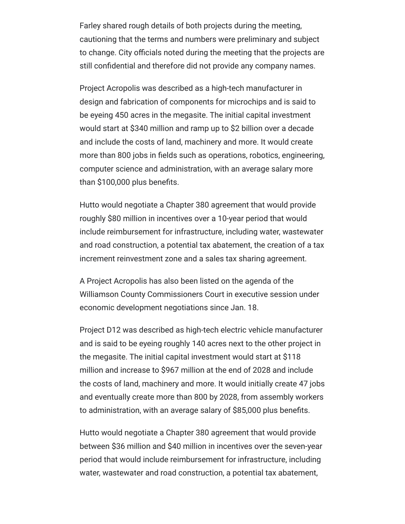Farley shared rough details of both projects during the meeting, cautioning that the terms and numbers were preliminary and subject to change. City officials noted during the meeting that the projects are still confidential and therefore did not provide any company names.

Project Acropolis was described as a high-tech manufacturer in design and fabrication of components for microchips and is said to be eyeing 450 acres in the megasite. The initial capital investment would start at \$340 million and ramp up to \$2 billion over a decade and include the costs of land, machinery and more. It would create more than 800 jobs in fields such as operations, robotics, engineering, computer science and administration, with an average salary more than \$100,000 plus benefits.

Hutto would negotiate a Chapter 380 agreement that would provide roughly \$80 million in incentives over a 10-year period that would include reimbursement for infrastructure, including water, wastewater and road construction, a potential tax abatement, the creation of a tax increment reinvestment zone and a sales tax sharing agreement.

A Project Acropolis has also been listed on the agenda of the Williamson County Commissioners Court in executive session under economic development negotiations since Jan. 18.

Project D12 was described as high-tech electric vehicle manufacturer and is said to be eyeing roughly 140 acres next to the other project in the megasite. The initial capital investment would start at \$118 million and increase to \$967 million at the end of 2028 and include the costs of land, machinery and more. It would initially create 47 jobs and eventually create more than 800 by 2028, from assembly workers to administration, with an average salary of \$85,000 plus benefits.

Hutto would negotiate a Chapter 380 agreement that would provide between \$36 million and \$40 million in incentives over the seven-year period that would include reimbursement for infrastructure, including water, wastewater and road construction, a potential tax abatement,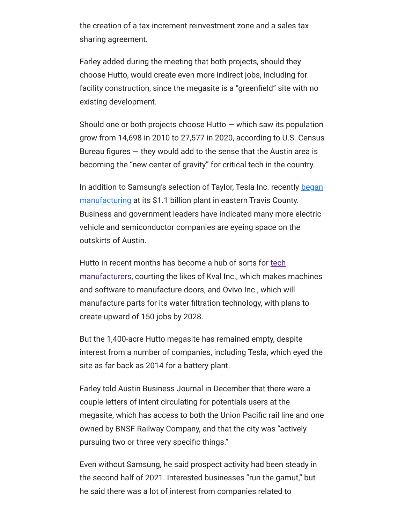the creation of a tax increment reinvestment zone and a sales tax sharing agreement.

Farley added during the meeting that both projects, should they choose Hutto, would create even more indirect jobs, including for facility construction, since the megasite is a "greenfield" site with no existing development.

Should one or both projects choose Hutto  $-$  which saw its population grow from 14,698 in 2010 to 27,577 in 2020, according to U.S. Census Bureau figures  $-$  they would add to the sense that the Austin area is becoming the "new center of gravity" for critical tech in the country.

[In addition to Samsung's selection of Taylor, Tesla Inc. recently began](https://www.bizjournals.com/austin/news/2022/01/27/tesla-earnings-report-fourth-quarter.html) manufacturing at its \$1.1 billion plant in eastern Travis County. Business and government leaders have indicated many more electric vehicle and semiconductor companies are eyeing space on the outskirts of Austin.

Hutto in recent months has become a hub of sorts for tech [manufacturers, courting the likes of Kval Inc., which makes](https://www.bizjournals.com/austin/news/2021/09/10/hutto-technology-manufacturing-titan-ovivo-kval.html) machines and software to manufacture doors, and Ovivo Inc., which will manufacture parts for its water filtration technology, with plans to create upward of 150 jobs by 2028.

But the 1,400-acre Hutto megasite has remained empty, despite interest from a number of companies, including Tesla, which eyed the site as far back as 2014 for a battery plant.

Farley told Austin Business Journal in December that there were a couple letters of intent circulating for potentials users at the megasite, which has access to both the Union Pacific rail line and one owned by BNSF Railway Company, and that the city was "actively pursuing two or three very specific things."

Even without Samsung, he said prospect activity had been steady in the second half of 2021. Interested businesses "run the gamut," but he said there was a lot of interest from companies related to